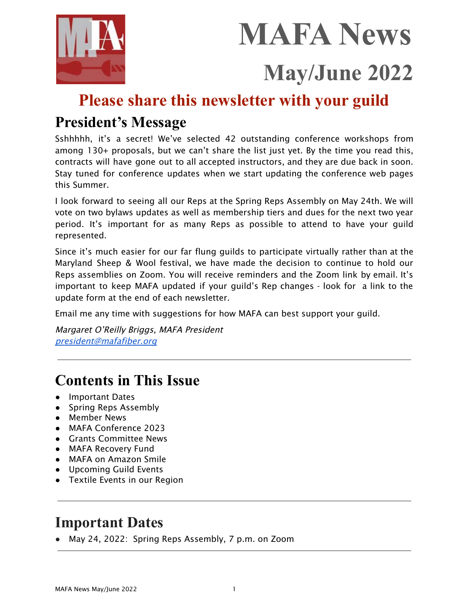

# **MAFA News May/June 2022**

# **Please share this newsletter with your guild**

### **President's Message**

Sshhhhh, it's a secret! We've selected 42 outstanding conference workshops from among 130+ proposals, but we can't share the list just yet. By the time you read this, contracts will have gone out to all accepted instructors, and they are due back in soon. Stay tuned for conference updates when we start updating the conference web pages this Summer.

I look forward to seeing all our Reps at the Spring Reps Assembly on May 24th. We will vote on two bylaws updates as well as membership tiers and dues for the next two year period. It's important for as many Reps as possible to attend to have your guild represented.

Since it's much easier for our far flung guilds to participate virtually rather than at the Maryland Sheep & Wool festival, we have made the decision to continue to hold our Reps assemblies on Zoom. You will receive reminders and the Zoom link by email. It's important to keep MAFA updated if your guild's Rep changes - look for a link to the update form at the end of each newsletter.

Email me any time with suggestions for how MAFA can best support your guild.

Margaret O'Reilly Briggs, MAFA President [president@mafafiber.org](mailto:president@mafafiber.org)

# **Contents in This Issue**

- Important Dates
- Spring Reps Assembly
- Member News
- MAFA Conference 2023
- Grants Committee News
- MAFA Recovery Fund
- MAFA on Amazon Smile
- Upcoming Guild Events
- Textile Events in our Region

# **Important Dates**

● May 24, 2022: Spring Reps Assembly, 7 p.m. on Zoom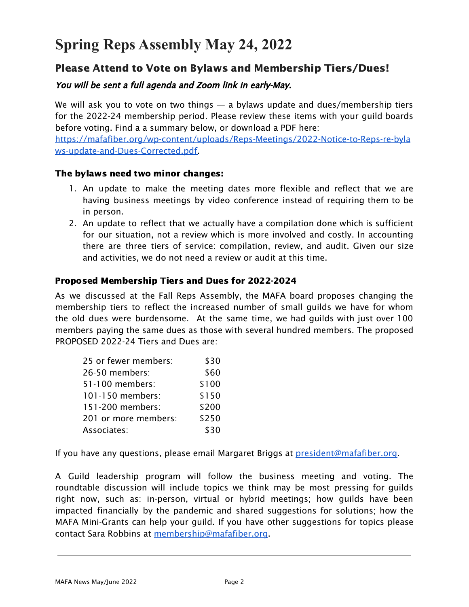# **Spring Reps Assembly May 24, 2022**

#### Please Attend to Vote on Bylaws and Membership Tiers/Dues!

#### You will be sent a full agenda and Zoom link in early-May.

We will ask you to vote on two things  $-$  a bylaws update and dues/membership tiers for the 2022-24 membership period. Please review these items with your guild boards before voting. Find a a summary below, or download a PDF here:

[https://mafafiber.org/wp-content/uploads/Reps-Meetings/2022-Notice-to-Reps-re-byla](https://mafafiber.org/wp-content/uploads/Reps-Meetings/2022-Notice-to-Reps-re-bylaws-update-and-Dues-Corrected.pdf) [ws-update-and-Dues-Corrected.pdf.](https://mafafiber.org/wp-content/uploads/Reps-Meetings/2022-Notice-to-Reps-re-bylaws-update-and-Dues-Corrected.pdf)

#### The bylaws need two minor changes:

- 1. An update to make the meeting dates more flexible and reflect that we are having business meetings by video conference instead of requiring them to be in person.
- 2. An update to reflect that we actually have a compilation done which is sufficient for our situation, not a review which is more involved and costly. In accounting there are three tiers of service: compilation, review, and audit. Given our size and activities, we do not need a review or audit at this time.

#### Proposed Membership Tiers and Dues for 2022-2024

As we discussed at the Fall Reps Assembly, the MAFA board proposes changing the membership tiers to reflect the increased number of small guilds we have for whom the old dues were burdensome. At the same time, we had guilds with just over 100 members paying the same dues as those with several hundred members. The proposed PROPOSED 2022-24 Tiers and Dues are:

| 25 or fewer members: | \$30  |
|----------------------|-------|
| 26-50 members:       | \$60  |
| 51-100 members:      | \$100 |
| 101-150 members:     | \$150 |
| 151-200 members:     | \$200 |
| 201 or more members: | \$250 |
| Associates:          | \$30  |

If you have any questions, please email Margaret Briggs at [president@mafafiber.org.](mailto:president@mafafiber.org)

A Guild leadership program will follow the business meeting and voting. The roundtable discussion will include topics we think may be most pressing for guilds right now, such as: in-person, virtual or hybrid meetings; how guilds have been impacted financially by the pandemic and shared suggestions for solutions; how the MAFA Mini-Grants can help your guild. If you have other suggestions for topics please contact Sara Robbins at [membership@mafafiber.org.](mailto:membership@mafafiber.org)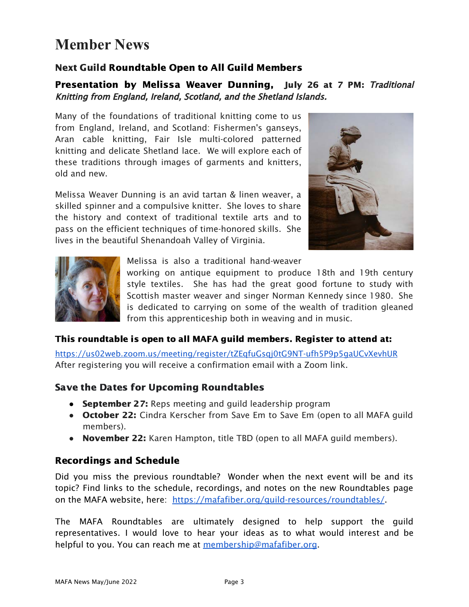# **Member News**

#### Next Guild Roundtable Open to All Guild Members

Presentation by Melissa Weaver Dunning, July 26 at 7 PM: Traditional Knitting from England, Ireland, Scotland, and the Shetland Islands.

Many of the foundations of traditional knitting come to us from England, Ireland, and Scotland: Fishermen's ganseys, Aran cable knitting, Fair Isle multi-colored patterned knitting and delicate Shetland lace. We will explore each of these traditions through images of garments and knitters, old and new.

Melissa Weaver Dunning is an avid tartan & linen weaver, a skilled spinner and a compulsive knitter. She loves to share the history and context of traditional textile arts and to pass on the efficient techniques of time-honored skills. She lives in the beautiful Shenandoah Valley of Virginia.





#### Melissa is also a traditional hand-weaver

working on antique equipment to produce 18th and 19th century style textiles. She has had the great good fortune to study with Scottish master weaver and singer Norman Kennedy since 1980. She is dedicated to carrying on some of the wealth of tradition gleaned from this apprenticeship both in weaving and in music.

#### This roundtable is open to all MAFA guild members. Register to attend at:

<https://us02web.zoom.us/meeting/register/tZEqfuGsqj0tG9NT-ufh5P9p5gaUCvXevhUR> After registering you will receive a confirmation email with a Zoom link.

#### Save the Dates for Upcoming Roundtables

- September 27: Reps meeting and guild leadership program
- October 22: Cindra Kerscher from Save Em to Save Em (open to all MAFA guild members).
- November 22: Karen Hampton, title TBD (open to all MAFA guild members).

#### Recordings and Schedule

Did you miss the previous roundtable? Wonder when the next event will be and its topic? Find links to the schedule, recordings, and notes on the new Roundtables page on the MAFA website, here: https://mafafiber.org/guild-resources/roundtables/

The MAFA Roundtables are ultimately designed to help support the guild representatives. I would love to hear your ideas as to what would interest and be helpful to you. You can reach me at [membership@mafafiber.org](mailto:membership@mafafiber.org).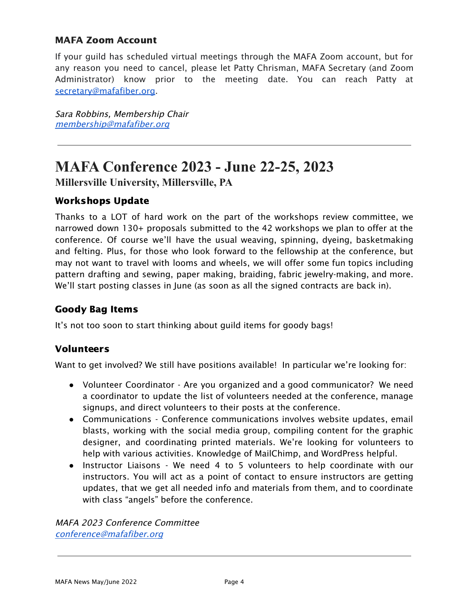#### MAFA Zoom Account

If your guild has scheduled virtual meetings through the MAFA Zoom account, but for any reason you need to cancel, please let Patty Chrisman, MAFA Secretary (and Zoom Administrator) know prior to the meeting date. You can reach Patty at [secretary@mafafiber.org.](mailto:secretary@mafafiber.org)

Sara Robbins, Membership Chair [membership@mafafiber.org](mailto:membership@mafafiber.org)

### **MAFA Conference 2023 - June 22-25, 2023**

**Millersville University, Millersville, PA**

#### Workshops Update

Thanks to a LOT of hard work on the part of the workshops review committee, we narrowed down 130+ proposals submitted to the 42 workshops we plan to offer at the conference. Of course we'll have the usual weaving, spinning, dyeing, basketmaking and felting. Plus, for those who look forward to the fellowship at the conference, but may not want to travel with looms and wheels, we will offer some fun topics including pattern drafting and sewing, paper making, braiding, fabric jewelry-making, and more. We'll start posting classes in June (as soon as all the signed contracts are back in).

#### Goody Bag Items

It's not too soon to start thinking about guild items for goody bags!

#### Volunteers

Want to get involved? We still have positions available! In particular we're looking for:

- Volunteer Coordinator Are you organized and a good communicator? We need a coordinator to update the list of volunteers needed at the conference, manage signups, and direct volunteers to their posts at the conference.
- Communications Conference communications involves website updates, email blasts, working with the social media group, compiling content for the graphic designer, and coordinating printed materials. We're looking for volunteers to help with various activities. Knowledge of MailChimp, and WordPress helpful.
- Instructor Liaisons We need 4 to 5 volunteers to help coordinate with our instructors. You will act as a point of contact to ensure instructors are getting updates, that we get all needed info and materials from them, and to coordinate with class "angels" before the conference.

MAFA 2023 Conference Committee [conference@mafafiber.org](mailto:conference@mafafiber.org)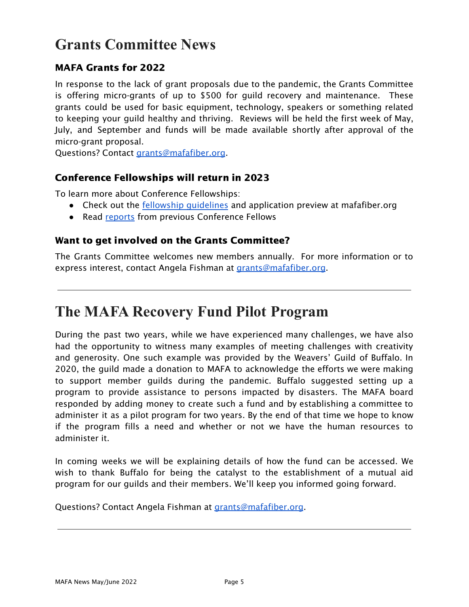# **Grants Committee News**

#### MAFA Grants for 2022

In response to the lack of grant proposals due to the pandemic, the Grants Committee is offering micro-grants of up to \$500 for guild recovery and maintenance. These grants could be used for basic equipment, technology, speakers or something related to keeping your guild healthy and thriving. Reviews will be held the first week of May, July, and September and funds will be made available shortly after approval of the micro-grant proposal.

Questions? Contact [grants@mafafiber.org](mailto:grants@mafafiber.org).

#### Conference Fellowships will return in 2023

To learn more about Conference Fellowships:

- Check out the [fellowship guidelines](https://mafafiber.org/grants/fellowships/) and application preview at mafafiber.org
- Read [reports](https://mafafiber.org/grants/fellowships/fellowship-awards/) from previous Conference Fellows

#### Want to get involved on the Grants Committee?

The Grants Committee welcomes new members annually. For more information or to express interest, contact Angela Fishman at [grants@mafafiber.org](mailto:grants@mafafiber.org).

### **The MAFA Recovery Fund Pilot Program**

During the past two years, while we have experienced many challenges, we have also had the opportunity to witness many examples of meeting challenges with creativity and generosity. One such example was provided by the Weavers' Guild of Buffalo. In 2020, the guild made a donation to MAFA to acknowledge the efforts we were making to support member guilds during the pandemic. Buffalo suggested setting up a program to provide assistance to persons impacted by disasters. The MAFA board responded by adding money to create such a fund and by establishing a committee to administer it as a pilot program for two years. By the end of that time we hope to know if the program fills a need and whether or not we have the human resources to administer it.

In coming weeks we will be explaining details of how the fund can be accessed. We wish to thank Buffalo for being the catalyst to the establishment of a mutual aid program for our guilds and their members. We'll keep you informed going forward.

Questions? Contact Angela Fishman at [grants@mafafiber.org](mailto:grants@mafafiber.org).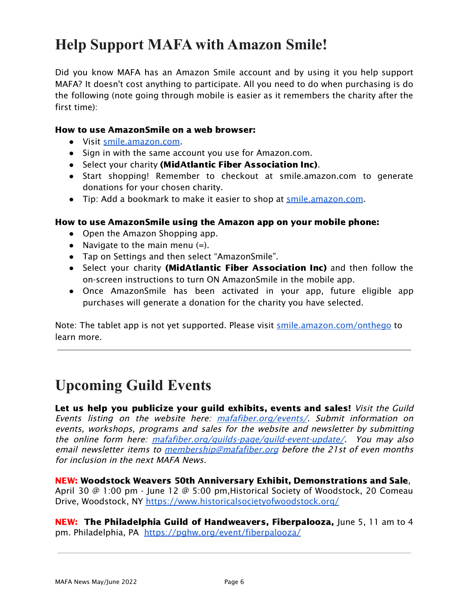# **Help Support MAFA with Amazon Smile!**

Did you know MAFA has an Amazon Smile account and by using it you help support MAFA? It doesn't cost anything to participate. All you need to do when purchasing is do the following (note going through mobile is easier as it remembers the charity after the first time):

#### How to use AmazonSmile on a web browser:

- Visit [smile.amazon.com.](https://smile.amazon.com/gp/chpf/dashboard/ref=smi_www_dayone_us_smilehowto_1)
- Sign in with the same account you use for Amazon.com.
- Select your charity (MidAtlantic Fiber Association Inc).
- Start shopping! Remember to checkout at smile.amazon.com to generate donations for your chosen charity.
- Tip: Add a bookmark to make it easier to shop at [smile.amazon.com](https://smile.amazon.com/gp/chpf/dashboard/ref=smi_www_dayone_us_smilehowto_2).

#### How to use AmazonSmile using the Amazon app on your mobile phone:

- Open the Amazon Shopping app.
- Navigate to the main menu  $(=)$ .
- Tap on Settings and then select "AmazonSmile".
- Select your charity (**MidAtlantic Fiber Association Inc**) and then follow the on-screen instructions to turn ON AmazonSmile in the mobile app.
- Once AmazonSmile has been activated in your app, future eligible app purchases will generate a donation for the charity you have selected.

Note: The tablet app is not yet supported. Please visit [smile.amazon.com/onthego](https://smile.amazon.com/b?node=15576745011&ref=smi_www_dayone_us_smilehowto_3) to learn more.

### **Upcoming Guild Events**

Let us help you publicize your guild exhibits, events and sales! Visit the Guild Events listing on the website here: [mafafiber.org/events/](https://mafafiber.org/events/). Submit information on events, workshops, programs and sales for the website and newsletter by submitting the online form here: [mafafiber.org/guilds-page/guild-event-update/](https://mafafiber.org/guilds-page/guild-event-update/). You may also email newsletter items to *[membership@mafafiber.org](mailto:membership@mafafiber.org)* before the 21st of even months for inclusion in the next MAFA News.

NEW: Woodstock Weavers 50th Anniversary Exhibit, Demonstrations and Sale, April 30 @ 1:00 pm - June 12 @ 5:00 pm, Historical Society of Woodstock, 20 Comeau Drive, Woodstock, NY <https://www.historicalsocietyofwoodstock.org/>

NEW: The Philadelphia Guild of Handweavers, Fiberpalooza, June 5, 11 am to 4 pm. Philadelphia, PA <https://pghw.org/event/fiberpalooza/>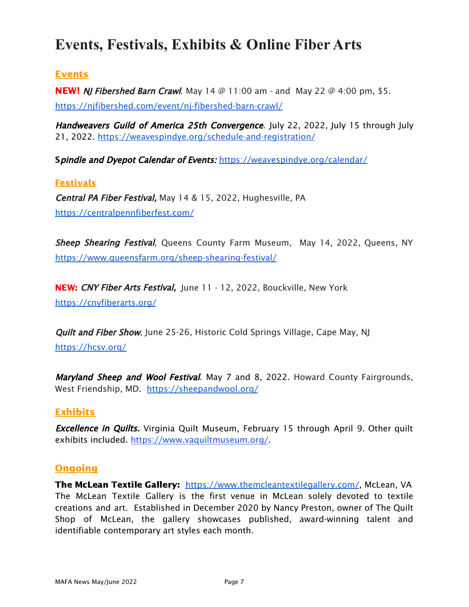### **Events, Festivals, Exhibits & Online Fiber Arts**

#### Events

**NEW!** *[NJ Fibershed Barn Crawl](https://mafafiber.org/event/nj-fibershed-barn-crawl/).* May 14 @ 11:00 am - and May 22 @ 4:00 pm, \$5. <https://njfibershed.com/event/nj-fibershed-barn-crawl/>

Handweavers Guild of America 25th Convergence. July 22, 2022, July 15 through July 21, 2022. <https://weavespindye.org/schedule-and-registration/>

Spindle and Dyepot Calendar of Events: <https://weavespindye.org/calendar/>

#### **Festivals**

Central PA Fiber Festival, May 14 & 15, 2022, Hughesville, PA <https://centralpennfiberfest.com/>

Sheep Shearing Festival, Queens County Farm Museum, May 14, 2022, Queens, NY <https://www.queensfarm.org/sheep-shearing-festival/>

NEW: CNY Fiber Arts Festival, June 11 - 12, 2022, Bouckville, New York <https://cnyfiberarts.org/>

Quilt and Fiber Show, June 25-26, Historic Cold Springs Village, Cape May, NJ <https://hcsv.org/>

Maryland Sheep and Wool Festival. May 7 and 8, 2022. Howard County Fairgrounds, West Friendship, MD. <https://sheepandwool.org/>

#### Exhibits

**Excellence in Quilts.** Virginia Quilt Museum, February 15 through April 9. Other quilt exhibits included. <https://www.vaquiltmuseum.org/>.

#### **Ongoing**

The McLean Textile Gallery: [https://www.themcleantextilegallery.com/,](https://www.themcleantextilegallery.com/) McLean, VA The McLean Textile Gallery is the first venue in McLean solely devoted to textile creations and art. Established in December 2020 by Nancy Preston, owner of The Quilt Shop of McLean, the gallery showcases published, award-winning talent and identifiable contemporary art styles each month.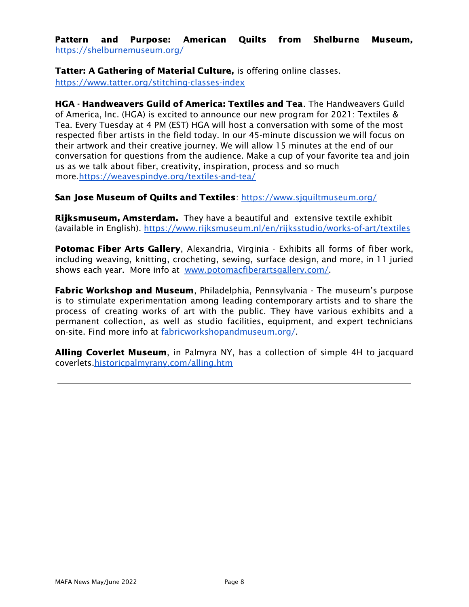Pattern and Purpose: American Quilts from Shelburne Museum, <https://shelburnemuseum.org/>

Tatter: A Gathering of Material Culture, is offering online classes. <https://www.tatter.org/stitching-classes-index>

HGA - Handweavers Guild of America: Textiles and Tea. The Handweavers Guild of America, Inc. (HGA) is excited to announce our new program for 2021: Textiles & Tea. Every Tuesday at 4 PM (EST) HGA will host a conversation with some of the most respected fiber artists in the field today. In our 45-minute discussion we will focus on their artwork and their creative journey. We will allow 15 minutes at the end of our conversation for questions from the audience. Make a cup of your favorite tea and join us as we talk about fiber, creativity, inspiration, process and so much more[.https://weavespindye.org/textiles-and-tea/](https://weavespindye.org/textiles-and-tea/)

San Jose Museum of Quilts and Textiles: <https://www.sjquiltmuseum.org/>

**Rijksmuseum, Amsterdam.** They have a beautiful and extensive textile exhibit (available in English). <https://www.rijksmuseum.nl/en/rijksstudio/works-of-art/textiles>

**Potomac Fiber Arts Gallery, Alexandria, Virginia - Exhibits all forms of fiber work,** including weaving, knitting, crocheting, sewing, surface design, and more, in 11 juried shows each year. More info at [www.potomacfiberartsgallery.com/](http://www.potomacfiberartsgallery.com/).

**Fabric Workshop and Museum**, Philadelphia, Pennsylvania - The museum's purpose is to stimulate experimentation among leading contemporary artists and to share the process of creating works of art with the public. They have various exhibits and a permanent collection, as well as studio facilities, equipment, and expert technicians on-site. Find more info at [fabricworkshopandmuseum.org/.](http://fabricworkshopandmuseum.org/)

Alling Coverlet Museum, in Palmyra NY, has a collection of simple 4H to jacquard coverlets[.historicpalmyrany.com/alling.htm](http://historicpalmyrany.com/alling.htm)